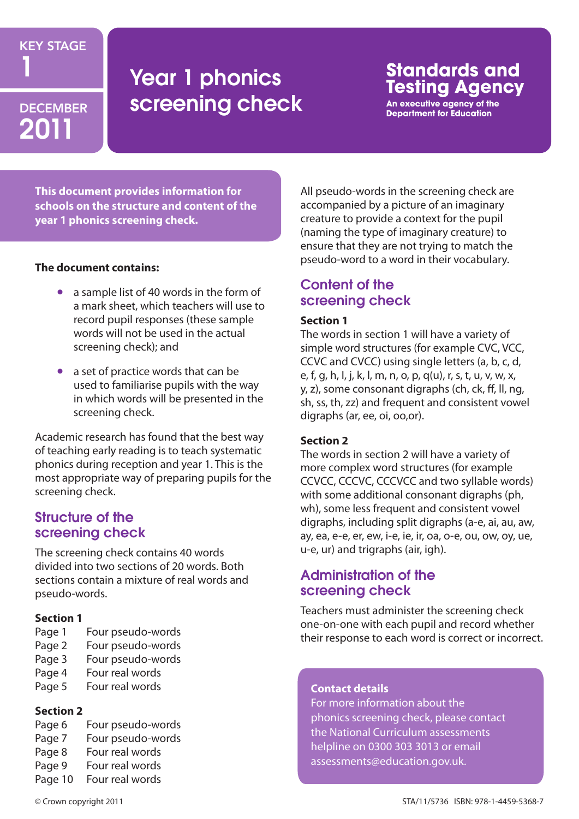### KEY STAGE

# 2011

# **Year 1 phonics** DECEMBER Screening check

## **Standards and** Testina Aaencv

An executive agency of the **Department for Education** 

**This document provides information for schools on the structure and content of the year 1 phonics screening check.** 

#### **The document contains:**

- a sample list of 40 words in the form of a mark sheet, which teachers will use to record pupil responses (these sample words will not be used in the actual screening check); and
- a set of practice words that can be used to familiarise pupils with the way in which words will be presented in the screening check.

Academic research has found that the best way of teaching early reading is to teach systematic phonics during reception and year 1. This is the most appropriate way of preparing pupils for the screening check.

#### Structure of the screening check

The screening check contains 40 words divided into two sections of 20 words. Both sections contain a mixture of real words and pseudo-words.

#### **Section 1**

- Page 1 Four pseudo-words
- Page 2 Four pseudo-words
- Page 3 Four pseudo-words
- Page 4 Four real words
- Page 5 Four real words

#### **Section 2**

- Page 6 Four pseudo-words
- Page 7 Four pseudo-words
- Page 8 Four real words
- Page 9 Four real words
- Page 10 Four real words

All pseudo-words in the screening check are accompanied by a picture of an imaginary creature to provide a context for the pupil (naming the type of imaginary creature) to ensure that they are not trying to match the pseudo-word to a word in their vocabulary.

### Content of the screening check

#### **Section 1**

The words in section 1 will have a variety of simple word structures (for example CVC, VCC, CCVC and CVCC) using single letters (a, b, c, d, e, f, g, h, I, j, k, l, m, n, o, p, q(u), r, s, t, u, v, w, x, y, z), some consonant digraphs (ch, ck, ff, ll, ng, sh, ss, th, zz) and frequent and consistent vowel digraphs (ar, ee, oi, oo,or).

#### **Section 2**

The words in section 2 will have a variety of more complex word structures (for example CCVCC, CCCVC, CCCVCC and two syllable words) with some additional consonant digraphs (ph, wh), some less frequent and consistent vowel digraphs, including split digraphs (a-e, ai, au, aw, ay, ea, e-e, er, ew, i-e, ie, ir, oa, o-e, ou, ow, oy, ue, u-e, ur) and trigraphs (air, igh).

### Administration of the screening check

Teachers must administer the screening check one-on-one with each pupil and record whether their response to each word is correct or incorrect.

#### **Contact details**

For more information about the phonics screening check, please contact the National Curriculum assessments helpline on 0300 303 3013 or email assessments@education.gov.uk.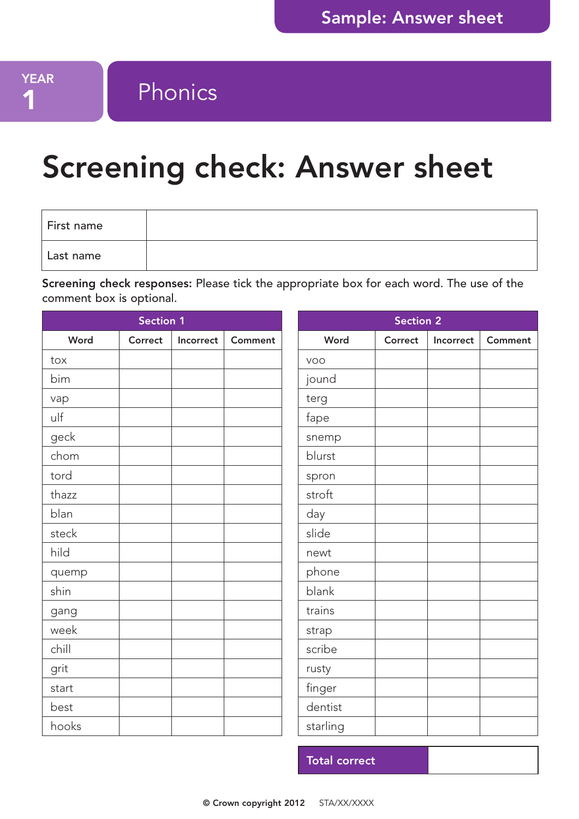# YEAR Phonics

# Screening check: Answer sheet

| First name |  |
|------------|--|
| Last name  |  |

Screening check responses: Please tick the appropriate box for each word. The use of the comment box is optional.

| Section 1 |         |           |                | <b>Section 2</b> |         |           |         |  |
|-----------|---------|-----------|----------------|------------------|---------|-----------|---------|--|
| Word      | Correct | Incorrect | <b>Comment</b> | Word             | Correct | Incorrect | Comment |  |
| tox       |         |           |                | VOO              |         |           |         |  |
| bim       |         |           |                | jound            |         |           |         |  |
| vap       |         |           |                | terg             |         |           |         |  |
| ulf       |         |           |                | fape             |         |           |         |  |
| geck      |         |           |                | snemp            |         |           |         |  |
| chom      |         |           |                | blurst           |         |           |         |  |
| tord      |         |           |                | spron            |         |           |         |  |
| thazz     |         |           |                | stroft           |         |           |         |  |
| blan      |         |           |                | day              |         |           |         |  |
| steck     |         |           |                | slide            |         |           |         |  |
| hild      |         |           |                | newt             |         |           |         |  |
| quemp     |         |           |                | phone            |         |           |         |  |
| shin      |         |           |                | blank            |         |           |         |  |
| gang      |         |           |                | trains           |         |           |         |  |
| week      |         |           |                | strap            |         |           |         |  |
| chill     |         |           |                | scribe           |         |           |         |  |
| grit      |         |           |                | rusty            |         |           |         |  |
| start     |         |           |                | finger           |         |           |         |  |
| best      |         |           |                | dentist          |         |           |         |  |
| hooks     |         |           |                | starling         |         |           |         |  |

Total correct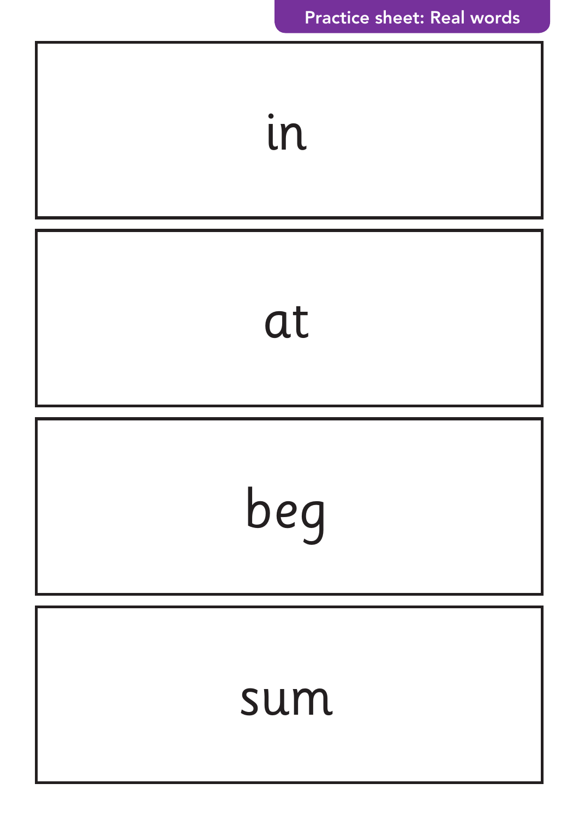